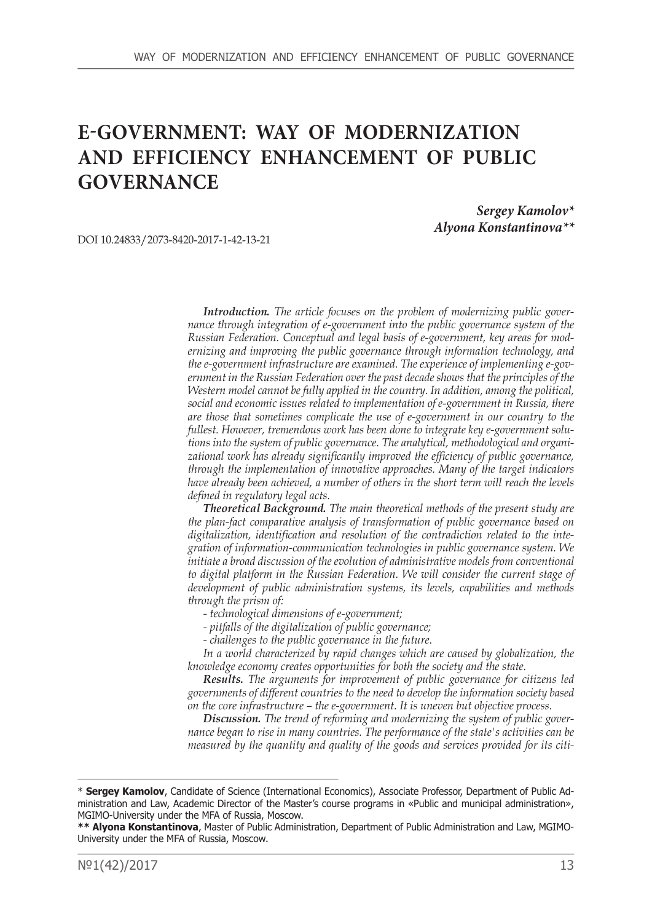# **E-GOVERNMENT: WAY OF MODERNIZATION AND EFFICIENCY ENHANCEMENT OF PUBLIC GOVERNANCE**

*Sergey Kamolov\* Alyona Konstantinova\*\**

DOI 10.24833/2073-8420-2017-1-42-13-21

*Introduction. The article focuses on the problem of modernizing public governance through integration of e-government into the public governance system of the Russian Federation. Conceptual and legal basis of e-government, key areas for modernizing and improving the public governance through information technology, and the e-government infrastructure are examined. The experience of implementing e-government in the Russian Federation over the past decade shows that the principles of the Western model cannot be fully applied in the country. In addition, among the political, social and economic issues related to implementation of e-government in Russia, there are those that sometimes complicate the use of e-government in our country to the fullest. However, tremendous work has been done to integrate key e-government solutions into the system of public governance. The analytical, methodological and organizational work has already significantly improved the efficiency of public governance, through the implementation of innovative approaches. Many of the target indicators have already been achieved, a number of others in the short term will reach the levels defined in regulatory legal acts.*

*Theoretical Background. The main theoretical methods of the present study are the plan-fact comparative analysis of transformation of public governance based on digitalization, identification and resolution of the contradiction related to the integration of information-communication technologies in public governance system. We initiate a broad discussion of the evolution of administrative models from conventional to digital platform in the Russian Federation. We will consider the current stage of development of public administration systems, its levels, capabilities and methods through the prism of:*

*- technological dimensions of e-government;*

*- pitfalls of the digitalization of public governance;*

*- challenges to the public governance in the future.*

*In a world characterized by rapid changes which are caused by globalization, the knowledge economy creates opportunities for both the society and the state.* 

*Results. The arguments for improvement of public governance for citizens led governments of different countries to the need to develop the information society based on the core infrastructure – the e-government. It is uneven but objective process.*

*Discussion. The trend of reforming and modernizing the system of public governance began to rise in many countries. The performance of the state's activities can be measured by the quantity and quality of the goods and services provided for its citi-*

<sup>\*</sup> **Sergey Kamolov**, Candidate of Science (International Economics), Associate Professor, Department of Public Administration and Law, Academic Director of the Master's course programs in «Public and municipal administration», MGIMO-University under the MFA of Russia, Moscow.

**<sup>\*\*</sup> Alyona Konstantinova**, Master of Public Administration, Department of Public Administration and Law, MGIMO-University under the MFA of Russia, Moscow.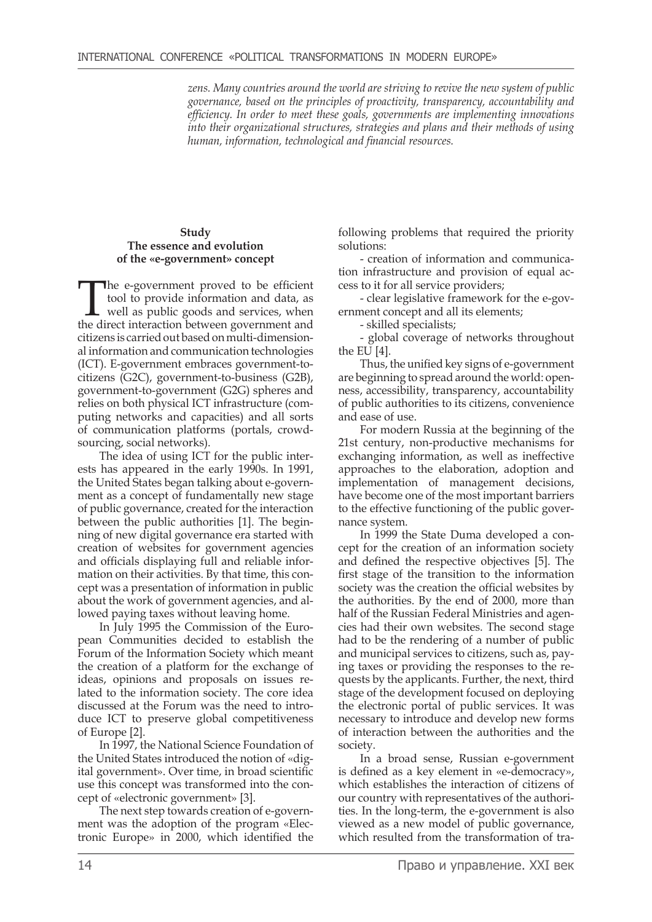*zens. Many countries around the world are striving to revive the new system of public governance, based on the principles of proactivity, transparency, accountability and efficiency. In order to meet these goals, governments are implementing innovations into their organizational structures, strategies and plans and their methods of using human, information, technological and financial resources.*

# **Study The essence and evolution of the «e-government» concept**

The e-government proved to be efficient<br>tool to provide information and data, as<br>well as public goods and services, when<br>the direct interaction between government and tool to provide information and data, as the direct interaction between government and citizens is carried out based on multi-dimensional information and communication technologies (ICT). E-government embraces government-tocitizens (G2C), government-to-business (G2B), government-to-government (G2G) spheres and relies on both physical ICT infrastructure (computing networks and capacities) and all sorts of communication platforms (portals, crowdsourcing, social networks).

The idea of using ICT for the public interests has appeared in the early 1990s. In 1991, the United States began talking about e-government as a concept of fundamentally new stage of public governance, created for the interaction between the public authorities [1]. The beginning of new digital governance era started with creation of websites for government agencies and officials displaying full and reliable information on their activities. By that time, this concept was a presentation of information in public about the work of government agencies, and allowed paying taxes without leaving home.

In July 1995 the Commission of the European Communities decided to establish the Forum of the Information Society which meant the creation of a platform for the exchange of ideas, opinions and proposals on issues related to the information society. The core idea discussed at the Forum was the need to introduce ICT to preserve global competitiveness of Europe [2].

In 1997, the National Science Foundation of the United States introduced the notion of «digital government». Over time, in broad scientific use this concept was transformed into the concept of «electronic government» [3].

The next step towards creation of e-government was the adoption of the program «Electronic Europe» in 2000, which identified the

following problems that required the priority solutions:

- creation of information and communication infrastructure and provision of equal access to it for all service providers;

- clear legislative framework for the e-government concept and all its elements;

- skilled specialists;

- global coverage of networks throughout the EU [4].

Thus, the unified key signs of e-government are beginning to spread around the world: openness, accessibility, transparency, accountability of public authorities to its citizens, convenience and ease of use.

For modern Russia at the beginning of the 21st century, non-productive mechanisms for exchanging information, as well as ineffective approaches to the elaboration, adoption and implementation of management decisions, have become one of the most important barriers to the effective functioning of the public governance system.

In 1999 the State Duma developed a concept for the creation of an information society and defined the respective objectives [5]. The first stage of the transition to the information society was the creation the official websites by the authorities. By the end of 2000, more than half of the Russian Federal Ministries and agencies had their own websites. The second stage had to be the rendering of a number of public and municipal services to citizens, such as, paying taxes or providing the responses to the requests by the applicants. Further, the next, third stage of the development focused on deploying the electronic portal of public services. It was necessary to introduce and develop new forms of interaction between the authorities and the society.

In a broad sense, Russian e-government is defined as a key element in «e-democracy», which establishes the interaction of citizens of our country with representatives of the authorities. In the long-term, the e-government is also viewed as a new model of public governance, which resulted from the transformation of tra-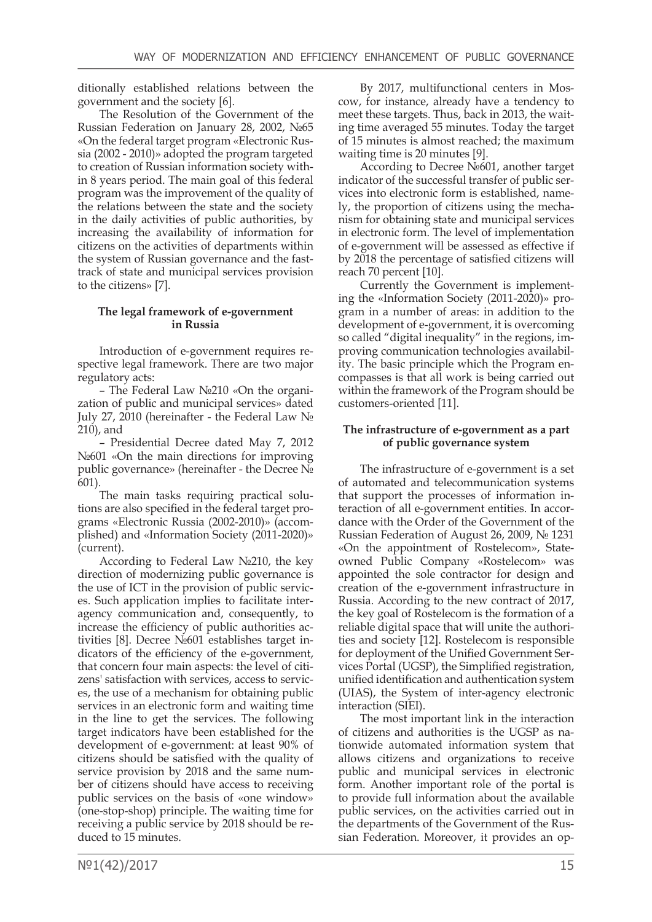ditionally established relations between the government and the society [6].

The Resolution of the Government of the Russian Federation on January 28, 2002, №65 «On the federal target program «Electronic Russia (2002 - 2010)» adopted the program targeted to creation of Russian information society within 8 years period. The main goal of this federal program was the improvement of the quality of the relations between the state and the society in the daily activities of public authorities, by increasing the availability of information for citizens on the activities of departments within the system of Russian governance and the fasttrack of state and municipal services provision to the citizens» [7].

# **The legal framework of e-government in Russia**

Introduction of e-government requires respective legal framework. There are two major regulatory acts:

– The Federal Law №210 «On the organization of public and municipal services» dated July 27, 2010 (hereinafter - the Federal Law № 210), and

– Presidential Decree dated May 7, 2012 N**o**601 «On the main directions for improving public governance» (hereinafter - the Decree № 601).

The main tasks requiring practical solutions are also specified in the federal target programs «Electronic Russia (2002-2010)» (accomplished) and «Information Society (2011-2020)» (current).

According to Federal Law №210, the key direction of modernizing public governance is the use of ICT in the provision of public services. Such application implies to facilitate interagency communication and, consequently, to increase the efficiency of public authorities activities [8]. Decree №601 establishes target indicators of the efficiency of the e-government, that concern four main aspects: the level of citizens' satisfaction with services, access to services, the use of a mechanism for obtaining public services in an electronic form and waiting time in the line to get the services. The following target indicators have been established for the development of e-government: at least 90% of citizens should be satisfied with the quality of service provision by 2018 and the same number of citizens should have access to receiving public services on the basis of «one window» (one-stop-shop) principle. The waiting time for receiving a public service by 2018 should be reduced to 15 minutes.

By 2017, multifunctional centers in Moscow, for instance, already have a tendency to meet these targets. Thus, back in 2013, the waiting time averaged 55 minutes. Today the target of 15 minutes is almost reached; the maximum waiting time is 20 minutes [9].

According to Decree №601, another target indicator of the successful transfer of public services into electronic form is established, namely, the proportion of citizens using the mechanism for obtaining state and municipal services in electronic form. The level of implementation of e-government will be assessed as effective if by 2018 the percentage of satisfied citizens will reach 70 percent [10].

Currently the Government is implementing the «Information Society (2011-2020)» program in a number of areas: in addition to the development of e-government, it is overcoming so called "digital inequality" in the regions, improving communication technologies availability. The basic principle which the Program encompasses is that all work is being carried out within the framework of the Program should be customers-oriented [11].

# **The infrastructure of e-government as a part of public governance system**

The infrastructure of e-government is a set of automated and telecommunication systems that support the processes of information interaction of all e-government entities. In accordance with the Order of the Government of the Russian Federation of August 26, 2009, № 1231 «On the appointment of Rostelecom», Stateowned Public Company «Rostelecom» was appointed the sole contractor for design and creation of the e-government infrastructure in Russia. According to the new contract of 2017, the key goal of Rostelecom is the formation of a reliable digital space that will unite the authorities and society [12]. Rostelecom is responsible for deployment of the Unified Government Services Portal (UGSP), the Simplified registration, unified identification and authentication system (UIAS), the System of inter-agency electronic interaction (SIEI).

The most important link in the interaction of citizens and authorities is the UGSP as nationwide automated information system that allows citizens and organizations to receive public and municipal services in electronic form. Another important role of the portal is to provide full information about the available public services, on the activities carried out in the departments of the Government of the Russian Federation. Moreover, it provides an op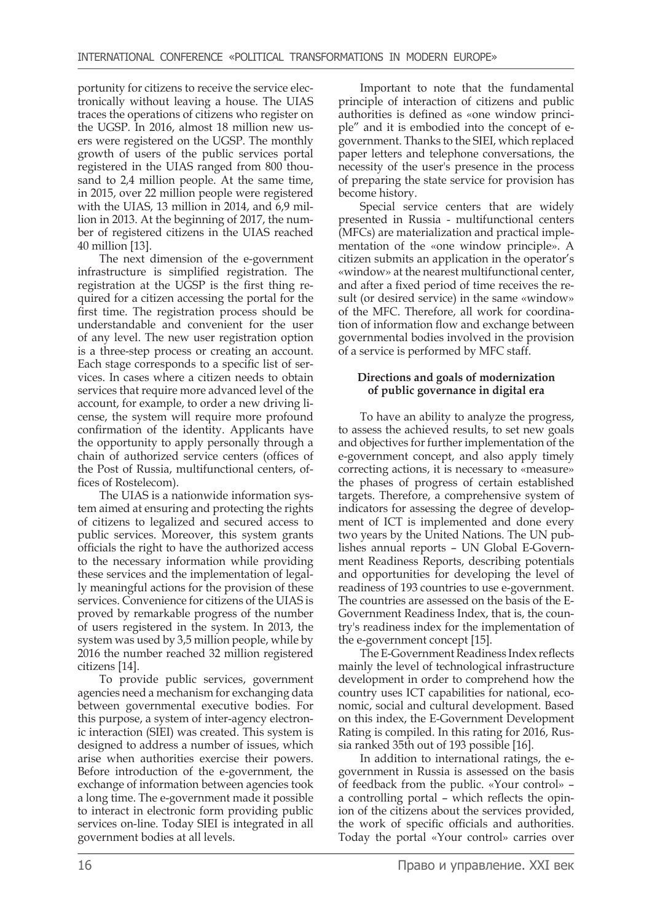portunity for citizens to receive the service electronically without leaving a house. The UIAS traces the operations of citizens who register on the UGSP. In 2016, almost 18 million new users were registered on the UGSP. The monthly growth of users of the public services portal registered in the UIAS ranged from 800 thousand to 2,4 million people. At the same time, in 2015, over 22 million people were registered with the UIAS, 13 million in 2014, and 6,9 million in 2013. At the beginning of 2017, the number of registered citizens in the UIAS reached 40 million [13].

The next dimension of the e-government infrastructure is simplified registration. The registration at the UGSP is the first thing required for a citizen accessing the portal for the first time. The registration process should be understandable and convenient for the user of any level. The new user registration option is a three-step process or creating an account. Each stage corresponds to a specific list of services. In cases where a citizen needs to obtain services that require more advanced level of the account, for example, to order a new driving license, the system will require more profound confirmation of the identity. Applicants have the opportunity to apply personally through a chain of authorized service centers (offices of the Post of Russia, multifunctional centers, offices of Rostelecom).

The UIAS is a nationwide information system aimed at ensuring and protecting the rights of citizens to legalized and secured access to public services. Moreover, this system grants officials the right to have the authorized access to the necessary information while providing these services and the implementation of legally meaningful actions for the provision of these services. Convenience for citizens of the UIAS is proved by remarkable progress of the number of users registered in the system. In 2013, the system was used by 3,5 million people, while by 2016 the number reached 32 million registered citizens [14].

To provide public services, government agencies need a mechanism for exchanging data between governmental executive bodies. For this purpose, a system of inter-agency electronic interaction (SIEI) was created. This system is designed to address a number of issues, which arise when authorities exercise their powers. Before introduction of the e-government, the exchange of information between agencies took a long time. The e-government made it possible to interact in electronic form providing public services on-line. Today SIEI is integrated in all government bodies at all levels.

Important to note that the fundamental principle of interaction of citizens and public authorities is defined as «one window principle" and it is embodied into the concept of egovernment. Thanks to the SIEI, which replaced paper letters and telephone conversations, the necessity of the user's presence in the process of preparing the state service for provision has become history.

Special service centers that are widely presented in Russia - multifunctional centers (MFCs) are materialization and practical implementation of the «one window principle». A citizen submits an application in the operator's «window» at the nearest multifunctional center, and after a fixed period of time receives the result (or desired service) in the same «window» of the MFC. Therefore, all work for coordination of information flow and exchange between governmental bodies involved in the provision of a service is performed by MFC staff.

### **Directions and goals of modernization of public governance in digital era**

To have an ability to analyze the progress, to assess the achieved results, to set new goals and objectives for further implementation of the e-government concept, and also apply timely correcting actions, it is necessary to «measure» the phases of progress of certain established targets. Therefore, a comprehensive system of indicators for assessing the degree of development of ICT is implemented and done every two years by the United Nations. The UN publishes annual reports – UN Global E-Government Readiness Reports, describing potentials and opportunities for developing the level of readiness of 193 countries to use e-government. The countries are assessed on the basis of the E-Government Readiness Index, that is, the country's readiness index for the implementation of the e-government concept [15].

The E-Government Readiness Index reflects mainly the level of technological infrastructure development in order to comprehend how the country uses ICT capabilities for national, economic, social and cultural development. Based on this index, the E-Government Development Rating is compiled. In this rating for 2016, Russia ranked 35th out of 193 possible [16].

In addition to international ratings, the egovernment in Russia is assessed on the basis of feedback from the public. «Your control» – a controlling portal – which reflects the opinion of the citizens about the services provided, the work of specific officials and authorities. Today the portal «Your control» carries over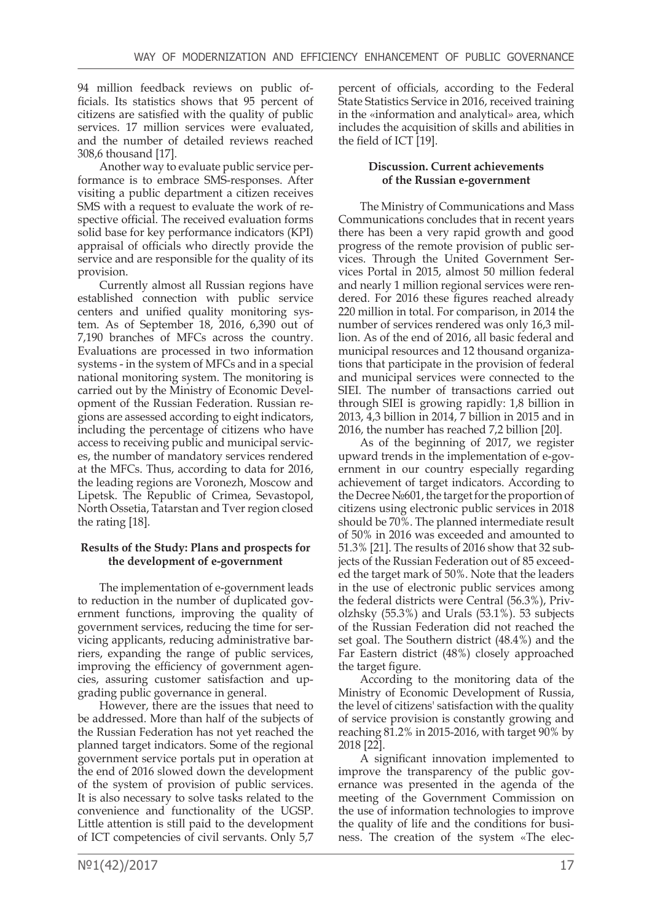94 million feedback reviews on public officials. Its statistics shows that 95 percent of citizens are satisfied with the quality of public services. 17 million services were evaluated, and the number of detailed reviews reached 308,6 thousand [17].

Another way to evaluate public service performance is to embrace SMS-responses. After visiting a public department a citizen receives SMS with a request to evaluate the work of respective official. The received evaluation forms solid base for key performance indicators (KPI) appraisal of officials who directly provide the service and are responsible for the quality of its provision.

Currently almost all Russian regions have established connection with public service centers and unified quality monitoring system. As of September 18, 2016, 6,390 out of 7,190 branches of MFCs across the country. Evaluations are processed in two information systems - in the system of MFCs and in a special national monitoring system. The monitoring is carried out by the Ministry of Economic Development of the Russian Federation. Russian regions are assessed according to eight indicators, including the percentage of citizens who have access to receiving public and municipal services, the number of mandatory services rendered at the MFCs. Thus, according to data for 2016, the leading regions are Voronezh, Moscow and Lipetsk. The Republic of Crimea, Sevastopol, North Ossetia, Tatarstan and Tver region closed the rating [18].

# **Results of the Study: Plans and prospects for the development of e-government**

The implementation of e-government leads to reduction in the number of duplicated government functions, improving the quality of government services, reducing the time for servicing applicants, reducing administrative barriers, expanding the range of public services, improving the efficiency of government agencies, assuring customer satisfaction and upgrading public governance in general.

However, there are the issues that need to be addressed. More than half of the subjects of the Russian Federation has not yet reached the planned target indicators. Some of the regional government service portals put in operation at the end of 2016 slowed down the development of the system of provision of public services. It is also necessary to solve tasks related to the convenience and functionality of the UGSP. Little attention is still paid to the development of ICT competencies of civil servants. Only 5,7

percent of officials, according to the Federal State Statistics Service in 2016, received training in the «information and analytical» area, which includes the acquisition of skills and abilities in the field of ICT [19].

# **Discussion. Current achievements of the Russian e-government**

The Ministry of Communications and Mass Communications concludes that in recent years there has been a very rapid growth and good progress of the remote provision of public services. Through the United Government Services Portal in 2015, almost 50 million federal and nearly 1 million regional services were rendered. For 2016 these figures reached already 220 million in total. For comparison, in 2014 the number of services rendered was only 16,3 million. As of the end of 2016, all basic federal and municipal resources and 12 thousand organizations that participate in the provision of federal and municipal services were connected to the SIEI. The number of transactions carried out through SIEI is growing rapidly: 1,8 billion in 2013, 4,3 billion in 2014, 7 billion in 2015 and in 2016, the number has reached 7,2 billion [20].

As of the beginning of 2017, we register upward trends in the implementation of e-government in our country especially regarding achievement of target indicators. According to the Decree №601, the target for the proportion of citizens using electronic public services in 2018 should be 70%. The planned intermediate result of 50% in 2016 was exceeded and amounted to 51.3% [21]. The results of 2016 show that 32 subjects of the Russian Federation out of 85 exceeded the target mark of 50%. Note that the leaders in the use of electronic public services among the federal districts were Central (56.3%), Privolzhsky (55.3%) and Urals (53.1%). 53 subjects of the Russian Federation did not reached the set goal. The Southern district (48.4%) and the Far Eastern district (48%) closely approached the target figure.

According to the monitoring data of the Ministry of Economic Development of Russia, the level of citizens' satisfaction with the quality of service provision is constantly growing and reaching 81.2% in 2015-2016, with target 90% by 2018 [22].

A significant innovation implemented to improve the transparency of the public governance was presented in the agenda of the meeting of the Government Commission on the use of information technologies to improve the quality of life and the conditions for business. The creation of the system «The elec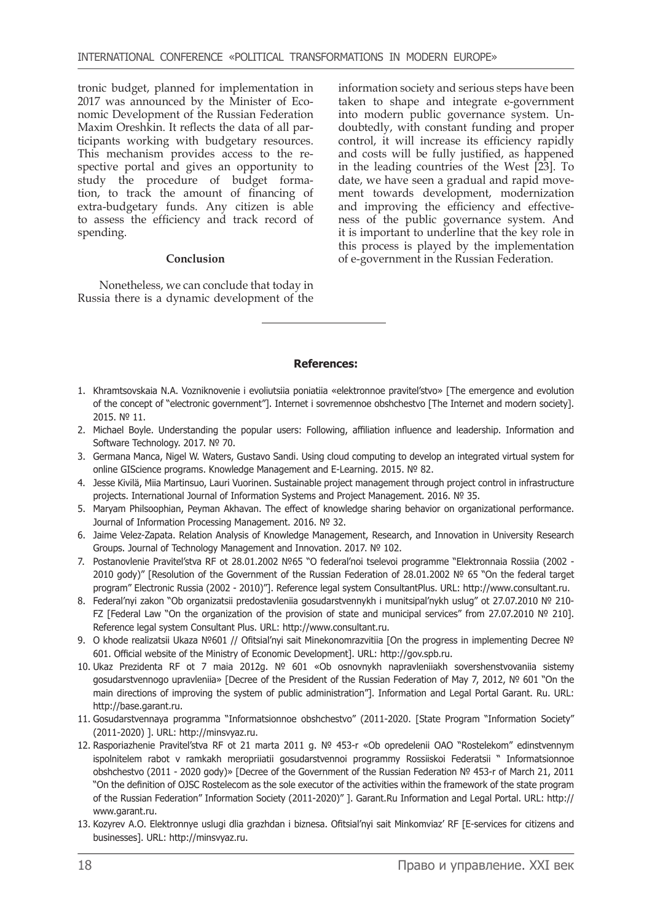tronic budget, planned for implementation in 2017 was announced by the Minister of Economic Development of the Russian Federation Maxim Oreshkin. It reflects the data of all participants working with budgetary resources. This mechanism provides access to the respective portal and gives an opportunity to study the procedure of budget formation, to track the amount of financing of extra-budgetary funds. Any citizen is able to assess the efficiency and track record of spending.

### **Conclusion**

Nonetheless, we can conclude that today in Russia there is a dynamic development of the

information society and serious steps have been taken to shape and integrate e-government into modern public governance system. Undoubtedly, with constant funding and proper control, it will increase its efficiency rapidly and costs will be fully justified, as happened in the leading countries of the West [23]. To date, we have seen a gradual and rapid movement towards development, modernization and improving the efficiency and effectiveness of the public governance system. And it is important to underline that the key role in this process is played by the implementation of e-government in the Russian Federation.

### **References:**

- 1. Khramtsovskaia N.A. Vozniknovenie i evoliutsiia poniatiia «elektronnoe pravitel'stvo» [The emergence and evolution of the concept of "electronic government"]. Internet i sovremennoe obshchestvo [The Internet and modern society]. 2015. № 11.
- 2. Michael Boyle. Understanding the popular users: Following, affiliation influence and leadership. Information and Software Technology. 2017. № 70.
- 3. Germana Manca, Nigel W. Waters, Gustavo Sandi. Using cloud computing to develop an integrated virtual system for online GIScience programs. Knowledge Management and E-Learning. 2015. № 82.
- 4. Jesse Kivilä, Miia Martinsuo, Lauri Vuorinen. Sustainable project management through project control in infrastructure projects. International Journal of Information Systems and Project Management. 2016. № 35.
- 5. Maryam Philsoophian, Peyman Akhavan. The effect of knowledge sharing behavior on organizational performance. Journal of Information Processing Management. 2016. № 32.
- 6. Jaime Velez-Zapata. Relation Analysis of Knowledge Management, Research, and Innovation in University Research Groups. Journal of Technology Management and Innovation. 2017. № 102.
- 7. Postanovlenie Pravitel'stva RF ot 28.01.2002 №65 "O federal'noi tselevoi programme "Elektronnaia Rossiia (2002 2010 gody)" [Resolution of the Government of the Russian Federation of 28.01.2002 № 65 "On the federal target program" Electronic Russia (2002 - 2010)"]. Reference legal system ConsultantPlus. URL: http://www.consultant.ru.
- 8. Federal'nyi zakon "Ob organizatsii predostavleniia gosudarstvennykh i munitsipal'nykh uslug" ot 27.07.2010 № 210- FZ [Federal Law "On the organization of the provision of state and municipal services" from 27.07.2010 № 210]. Reference legal system Consultant Plus. URL: http://www.consultant.ru.
- 9. O khode realizatsii Ukaza №601 // Ofitsial'nyi sait Minekonomrazvitiia [On the progress in implementing Decree № 601. Official website of the Ministry of Economic Development]. URL: http://gov.spb.ru.
- 10. Ukaz Prezidenta RF ot 7 maia 2012g. № 601 «Ob osnovnykh napravleniiakh sovershenstvovaniia sistemy gosudarstvennogo upravleniia» [Decree of the President of the Russian Federation of May 7, 2012, № 601 "On the main directions of improving the system of public administration"]. Information and Legal Portal Garant. Ru. URL: http://base.garant.ru.
- 11. Gosudarstvennaya programma "Informatsionnoe obshchestvo" (2011-2020. [State Program "Information Society" (2011-2020) ]. URL: http://minsvyaz.ru.
- 12. Rasporiazhenie Pravitel'stva RF ot 21 marta 2011 g. № 453-r «Ob opredelenii OAO "Rostelekom" edinstvennym ispolnitelem rabot v ramkakh meropriiatii gosudarstvennoi programmy Rossiiskoi Federatsii " Informatsionnoe obshchestvo (2011 - 2020 gody)» [Decree of the Government of the Russian Federation № 453-r of March 21, 2011 "On the definition of OJSC Rostelecom as the sole executor of the activities within the framework of the state program of the Russian Federation" Information Society (2011-2020)" ]. Garant.Ru Information and Legal Portal. URL: http:// www.garant.ru.
- 13. Kozyrev A.O. Elektronnye uslugi dlia grazhdan i biznesa. Ofitsial'nyi sait Minkomviaz' RF [E-services for citizens and businesses]. URL: http://minsvyaz.ru.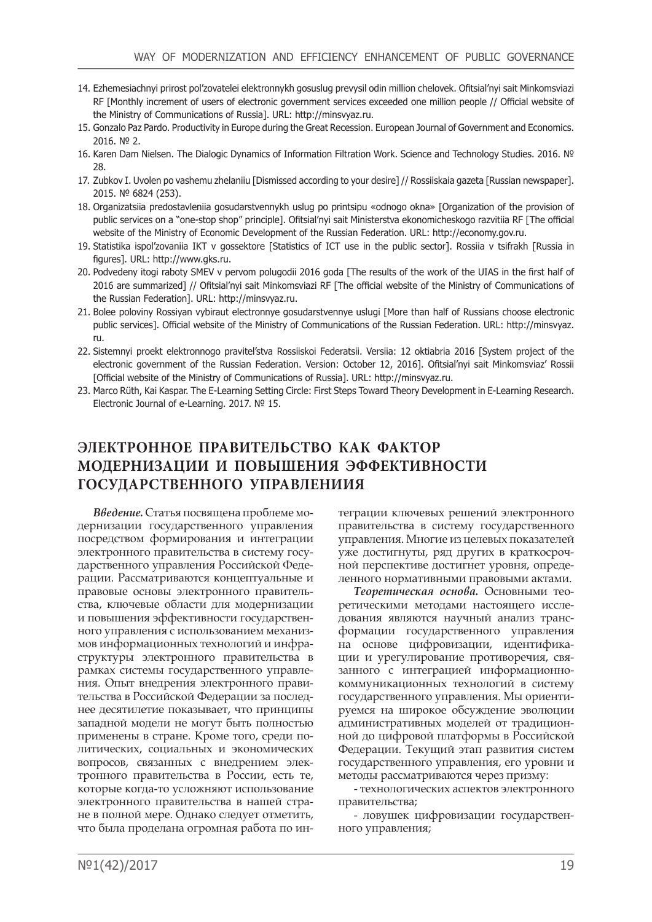- 14. Ezhemesiachnyi prirost pol'zovatelei elektronnykh gosuslug prevysil odin million chelovek. Ofitsial'nyi sait Minkomsviazi RF [Monthly increment of users of electronic government services exceeded one million people // Official website of the Ministry of Communications of Russia]. URL: http://minsvyaz.ru.
- 15. Gonzalo Paz Pardo. Productivity in Europe during the Great Recession. European Journal of Government and Economics. 2016. № 2.
- 16. Karen Dam Nielsen. The Dialogic Dynamics of Information Filtration Work. Science and Technology Studies. 2016. № 28.
- 17. Zubkov I. Uvolen po vashemu zhelaniiu [Dismissed according to your desire] // Rossiiskaia gazeta [Russian newspaper]. 2015. № 6824 (253).
- 18. Organizatsiia predostavleniia gosudarstvennykh uslug po printsipu «odnogo okna» [Organization of the provision of public services on a "one-stop shop" principle]. Ofitsial'nyi sait Ministerstva ekonomicheskogo razvitiia RF [The official website of the Ministry of Economic Development of the Russian Federation. URL: http://economy.gov.ru.
- 19. Statistika ispol'zovaniia IKT v gossektore [Statistics of ICT use in the public sector]. Rossiia v tsifrakh [Russia in figures]. URL: http://www.gks.ru.
- 20. Podvedeny itogi raboty SMEV v pervom polugodii 2016 goda [The results of the work of the UIAS in the first half of 2016 are summarized] // Ofitsial'nyi sait Minkomsviazi RF [The official website of the Ministry of Communications of the Russian Federation]. URL: http://minsvyaz.ru.
- 21. Bolee poloviny Rossiyan vybiraut electronnye gosudarstvennye uslugi [More than half of Russians choose electronic public services]. Official website of the Ministry of Communications of the Russian Federation. URL: http://minsvyaz. ru.
- 22. Sistemnyi proekt elektronnogo pravitel'stva Rossiiskoi Federatsii. Versiia: 12 oktiabria 2016 [System project of the electronic government of the Russian Federation. Version: October 12, 2016]. Ofitsial'nyi sait Minkomsviaz' Rossii [Official website of the Ministry of Communications of Russia]. URL: http://minsvyaz.ru.
- 23. Marco Rüth, Kai Kaspar. The E‑Learning Setting Circle: First Steps Toward Theory Development in E‑Learning Research. Electronic Journal of e-Learning. 2017. № 15.

# **ЭЛЕКТРОННОЕ ПРАВИТЕЛЬСТВО КАК ФАКТОР МОДЕРНИЗАЦИИ И ПОВЫШЕНИЯ ЭФФЕКТИВНОСТИ ГОСУДАРСТВЕННОГО УПРАВЛЕНИИЯ**

*Введение.* Статья посвящена проблеме модернизации государственного управления посредством формирования и интеграции электронного правительства в систему государственного управления Российской Федерации. Рассматриваются концептуальные и правовые основы электронного правительства, ключевые области для модернизации и повышения эффективности государственного управления с использованием механизмов информационных технологий и инфраструктуры электронного правительства в рамках системы государственного управления. Опыт внедрения электронного правительства в Российской Федерации за последнее десятилетие показывает, что принципы западной модели не могут быть полностью применены в стране. Кроме того, среди политических, социальных и экономических вопросов, связанных с внедрением электронного правительства в России, есть те, которые когда-то усложняют использование электронного правительства в нашей стране в полной мере. Однако следует отметить, что была проделана огромная работа по ин-

теграции ключевых решений электронного правительства в систему государственного управления. Многие из целевых показателей уже достигнуты, ряд других в краткосрочной перспективе достигнет уровня, определенного нормативными правовыми актами.

*Теоретическая основа.* Основными теоретическими методами настоящего исследования являются научный анализ трансформации государственного управления на основе цифровизации, идентификации и урегулирование противоречия, связанного с интеграцией информационнокоммуникационных технологий в систему государственного управления. Мы ориентируемся на широкое обсуждение эволюции административных моделей от традиционной до цифровой платформы в Российской Федерации. Текущий этап развития систем государственного управления, его уровни и методы рассматриваются через призму:

- технологических аспектов электронного правительства;

- ловушек цифровизации государственного управления;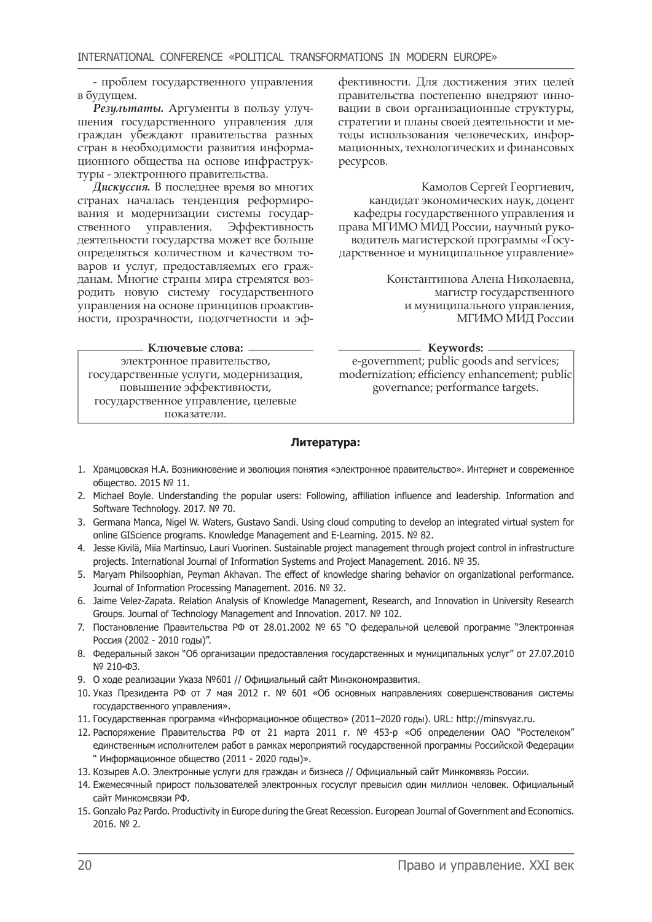- проблем государственного управления в будущем.

*Результаты.* Аргументы в пользу улучшения государственного управления для граждан убеждают правительства разных стран в необходимости развития информационного общества на основе инфраструктуры - электронного правительства.

*Дискуссия.* В последнее время во многих странах началась тенденция реформирования и модернизации системы государственного управления. Эффективность деятельности государства может все больше определяться количеством и качеством товаров и услуг, предоставляемых его гражданам. Многие страны мира стремятся возродить новую систему государственного управления на основе принципов проактивности, прозрачности, подотчетности и эф-

фективности. Для достижения этих целей правительства постепенно внедряют инновации в свои организационные структуры, стратегии и планы своей деятельности и методы использования человеческих, информационных, технологических и финансовых ресурсов.

Камолов Сергей Георгиевич, кандидат экономических наук, доцент кафедры государственного управления и права МГИМО МИД России, научный руководитель магистерской программы «Государственное и муниципальное управление»

> Константинова Алена Николаевна, магистр государственного и муниципального управления, МГИМО МИД России

**Ключевые слова:**  электронное правительство, государственные услуги, модернизация, повышение эффективности, государственное управление, целевые показатели.

**Keywords:**

e-government; public goods and services; modernization; efficiency enhancement; public governance; performance targets.

#### **Литература:**

- 1. Храмцовская Н.А. Возникновение и эволюция понятия «электронное правительство». Интернет и современное общество. 2015 № 11.
- 2. Michael Boyle. Understanding the popular users: Following, affiliation influence and leadership. Information and Software Technology. 2017. № 70.
- 3. Germana Manca, Nigel W. Waters, Gustavo Sandi. Using cloud computing to develop an integrated virtual system for online GIScience programs. Knowledge Management and E-Learning. 2015. № 82.
- 4. Jesse Kivilä, Miia Martinsuo, Lauri Vuorinen. Sustainable project management through project control in infrastructure projects. International Journal of Information Systems and Project Management. 2016. № 35.
- 5. Maryam Philsoophian, Peyman Akhavan. The effect of knowledge sharing behavior on organizational performance. Journal of Information Processing Management. 2016. № 32.
- 6. Jaime Velez-Zapata. Relation Analysis of Knowledge Management, Research, and Innovation in University Research Groups. Journal of Technology Management and Innovation. 2017. № 102.
- 7. Постановление Правительства РФ от 28.01.2002 № 65 "О федеральной целевой программе "Электронная Россия (2002 - 2010 годы)".
- 8. Федеральный закон "Об организации предоставления государственных и муниципальных услуг" от 27.07.2010 № 210-ФЗ.
- 9. О ходе реализации Указа №601 // Официальный сайт Минэкономразвития.
- 10. Указ Президента РФ от 7 мая 2012 г. № 601 «Об основных направлениях совершенствования системы государственного управления».
- 11. Государственная программа «Информационное общество» (2011–2020 годы). URL: http://minsvyaz.ru.
- 12. Распоряжение Правительства РФ от 21 марта 2011 г. № 453-р «Об определении ОАО "Ростелеком" единственным исполнителем работ в рамках мероприятий государственной программы Российской Федерации " Информационное общество (2011 - 2020 годы)».
- 13. Козырев А.О. Электронные услуги для граждан и бизнеса // Официальный сайт Минкомвязь России.
- 14. Ежемесячный прирост пользователей электронных госуслуг превысил один миллион человек. Официальный сайт Минкомсвязи РФ.
- 15. Gonzalo Paz Pardo. Productivity in Europe during the Great Recession. European Journal of Government and Economics. 2016. № 2.